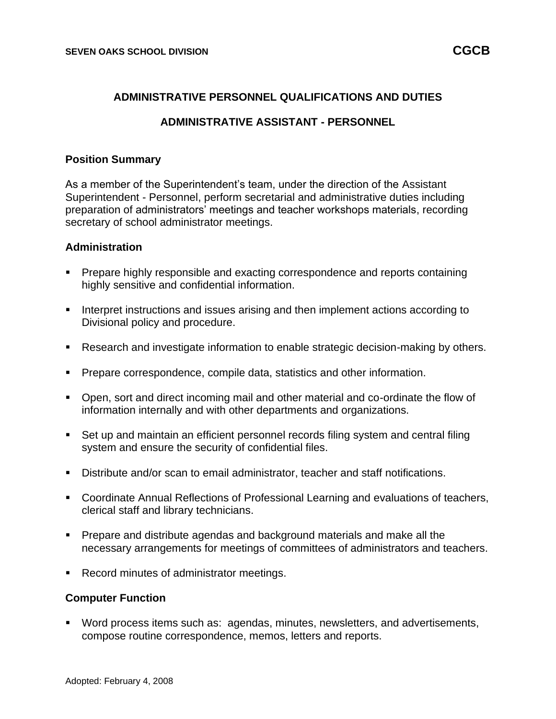## **ADMINISTRATIVE PERSONNEL QUALIFICATIONS AND DUTIES**

## **ADMINISTRATIVE ASSISTANT - PERSONNEL**

### **Position Summary**

As a member of the Superintendent's team, under the direction of the Assistant Superintendent - Personnel, perform secretarial and administrative duties including preparation of administrators' meetings and teacher workshops materials, recording secretary of school administrator meetings.

#### **Administration**

- Prepare highly responsible and exacting correspondence and reports containing highly sensitive and confidential information.
- Interpret instructions and issues arising and then implement actions according to Divisional policy and procedure.
- Research and investigate information to enable strategic decision-making by others.
- **Prepare correspondence, compile data, statistics and other information.**
- Open, sort and direct incoming mail and other material and co-ordinate the flow of information internally and with other departments and organizations.
- Set up and maintain an efficient personnel records filing system and central filing system and ensure the security of confidential files.
- Distribute and/or scan to email administrator, teacher and staff notifications.
- Coordinate Annual Reflections of Professional Learning and evaluations of teachers, clerical staff and library technicians.
- **•** Prepare and distribute agendas and background materials and make all the necessary arrangements for meetings of committees of administrators and teachers.
- Record minutes of administrator meetings.

#### **Computer Function**

■ Word process items such as: agendas, minutes, newsletters, and advertisements, compose routine correspondence, memos, letters and reports.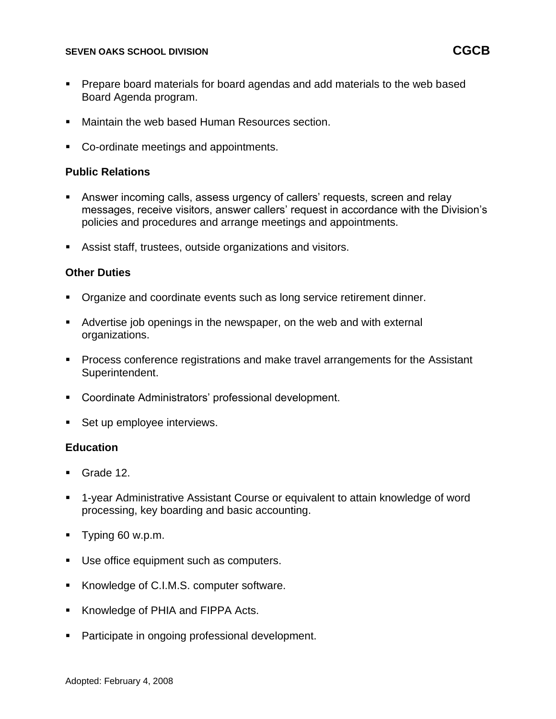### **SEVEN OAKS SCHOOL DIVISION CGCB**

- Prepare board materials for board agendas and add materials to the web based Board Agenda program.
- Maintain the web based Human Resources section.
- Co-ordinate meetings and appointments.

## **Public Relations**

- Answer incoming calls, assess urgency of callers' requests, screen and relay messages, receive visitors, answer callers' request in accordance with the Division's policies and procedures and arrange meetings and appointments.
- Assist staff, trustees, outside organizations and visitors.

### **Other Duties**

- Organize and coordinate events such as long service retirement dinner.
- Advertise job openings in the newspaper, on the web and with external organizations.
- Process conference registrations and make travel arrangements for the Assistant Superintendent.
- Coordinate Administrators' professional development.
- Set up employee interviews.

### **Education**

- Grade 12.
- 1-year Administrative Assistant Course or equivalent to attain knowledge of word processing, key boarding and basic accounting.
- Typing 60 w.p.m.
- Use office equipment such as computers.
- Knowledge of C.I.M.S. computer software.
- Knowledge of PHIA and FIPPA Acts.
- Participate in ongoing professional development.